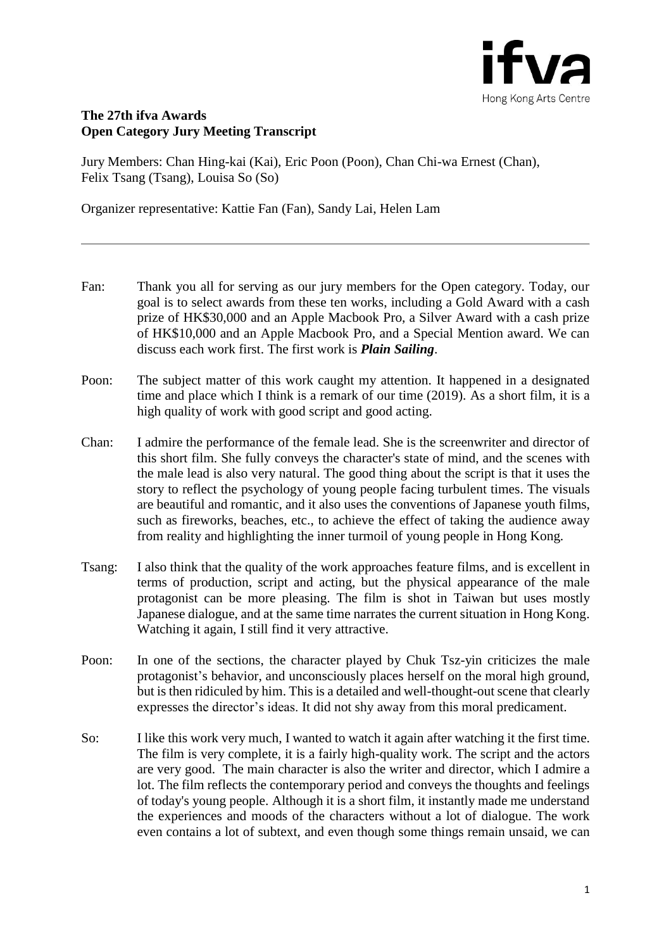

### **The 27th ifva Awards Open Category Jury Meeting Transcript**

Jury Members: Chan Hing-kai (Kai), Eric Poon (Poon), Chan Chi-wa Ernest (Chan), Felix Tsang (Tsang), Louisa So (So)

Organizer representative: Kattie Fan (Fan), Sandy Lai, Helen Lam

- Fan: Thank you all for serving as our jury members for the Open category. Today, our goal is to select awards from these ten works, including a Gold Award with a cash prize of HK\$30,000 and an Apple Macbook Pro, a Silver Award with a cash prize of HK\$10,000 and an Apple Macbook Pro, and a Special Mention award. We can discuss each work first. The first work is *Plain Sailing*.
- Poon: The subject matter of this work caught my attention. It happened in a designated time and place which I think is a remark of our time (2019). As a short film, it is a high quality of work with good script and good acting.
- Chan: I admire the performance of the female lead. She is the screenwriter and director of this short film. She fully conveys the character's state of mind, and the scenes with the male lead is also very natural. The good thing about the script is that it uses the story to reflect the psychology of young people facing turbulent times. The visuals are beautiful and romantic, and it also uses the conventions of Japanese youth films, such as fireworks, beaches, etc., to achieve the effect of taking the audience away from reality and highlighting the inner turmoil of young people in Hong Kong.
- Tsang: I also think that the quality of the work approaches feature films, and is excellent in terms of production, script and acting, but the physical appearance of the male protagonist can be more pleasing. The film is shot in Taiwan but uses mostly Japanese dialogue, and at the same time narrates the current situation in Hong Kong. Watching it again, I still find it very attractive.
- Poon: In one of the sections, the character played by Chuk Tsz-yin criticizes the male protagonist's behavior, and unconsciously places herself on the moral high ground, but is then ridiculed by him. This is a detailed and well-thought-out scene that clearly expresses the director's ideas. It did not shy away from this moral predicament.
- So: I like this work very much, I wanted to watch it again after watching it the first time. The film is very complete, it is a fairly high-quality work. The script and the actors are very good. The main character is also the writer and director, which I admire a lot. The film reflects the contemporary period and conveys the thoughts and feelings of today's young people. Although it is a short film, it instantly made me understand the experiences and moods of the characters without a lot of dialogue. The work even contains a lot of subtext, and even though some things remain unsaid, we can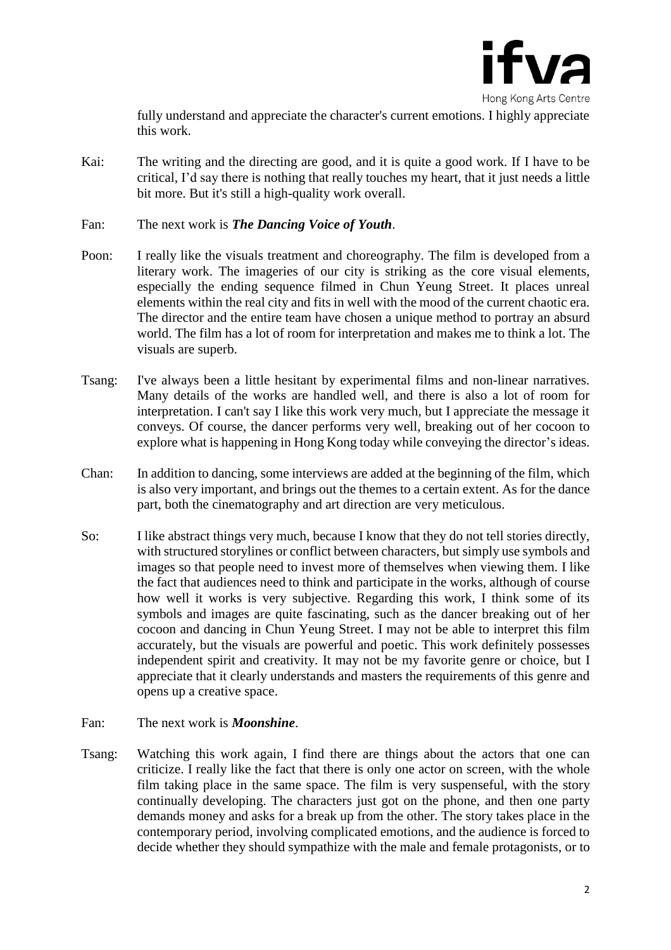

fully understand and appreciate the character's current emotions. I highly appreciate this work.

- Kai: The writing and the directing are good, and it is quite a good work. If I have to be critical, I'd say there is nothing that really touches my heart, that it just needs a little bit more. But it's still a high-quality work overall.
- Fan: The next work is *The Dancing Voice of Youth*.
- Poon: I really like the visuals treatment and choreography. The film is developed from a literary work. The imageries of our city is striking as the core visual elements, especially the ending sequence filmed in Chun Yeung Street. It places unreal elements within the real city and fits in well with the mood of the current chaotic era. The director and the entire team have chosen a unique method to portray an absurd world. The film has a lot of room for interpretation and makes me to think a lot. The visuals are superb.
- Tsang: I've always been a little hesitant by experimental films and non-linear narratives. Many details of the works are handled well, and there is also a lot of room for interpretation. I can't say I like this work very much, but I appreciate the message it conveys. Of course, the dancer performs very well, breaking out of her cocoon to explore what is happening in Hong Kong today while conveying the director's ideas.
- Chan: In addition to dancing, some interviews are added at the beginning of the film, which is also very important, and brings out the themes to a certain extent. As for the dance part, both the cinematography and art direction are very meticulous.
- So: I like abstract things very much, because I know that they do not tell stories directly, with structured storylines or conflict between characters, but simply use symbols and images so that people need to invest more of themselves when viewing them. I like the fact that audiences need to think and participate in the works, although of course how well it works is very subjective. Regarding this work, I think some of its symbols and images are quite fascinating, such as the dancer breaking out of her cocoon and dancing in Chun Yeung Street. I may not be able to interpret this film accurately, but the visuals are powerful and poetic. This work definitely possesses independent spirit and creativity. It may not be my favorite genre or choice, but I appreciate that it clearly understands and masters the requirements of this genre and opens up a creative space.
- Fan: The next work is *Moonshine*.
- Tsang: Watching this work again, I find there are things about the actors that one can criticize. I really like the fact that there is only one actor on screen, with the whole film taking place in the same space. The film is very suspenseful, with the story continually developing. The characters just got on the phone, and then one party demands money and asks for a break up from the other. The story takes place in the contemporary period, involving complicated emotions, and the audience is forced to decide whether they should sympathize with the male and female protagonists, or to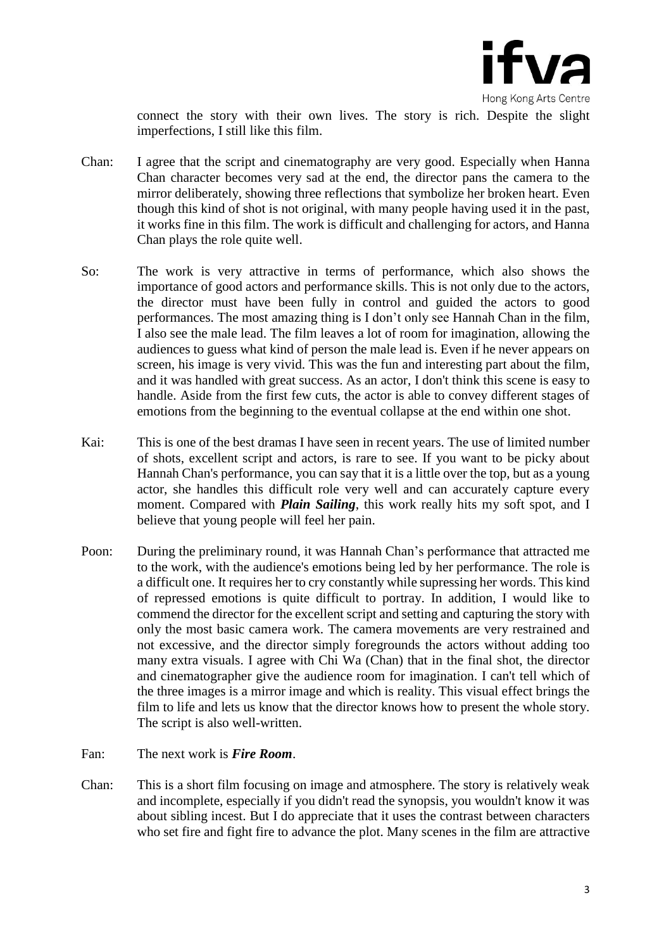

Hong Kong Arts Centre

connect the story with their own lives. The story is rich. Despite the slight imperfections, I still like this film.

- Chan: I agree that the script and cinematography are very good. Especially when Hanna Chan character becomes very sad at the end, the director pans the camera to the mirror deliberately, showing three reflections that symbolize her broken heart. Even though this kind of shot is not original, with many people having used it in the past, it works fine in this film. The work is difficult and challenging for actors, and Hanna Chan plays the role quite well.
- So: The work is very attractive in terms of performance, which also shows the importance of good actors and performance skills. This is not only due to the actors, the director must have been fully in control and guided the actors to good performances. The most amazing thing is I don't only see Hannah Chan in the film, I also see the male lead. The film leaves a lot of room for imagination, allowing the audiences to guess what kind of person the male lead is. Even if he never appears on screen, his image is very vivid. This was the fun and interesting part about the film, and it was handled with great success. As an actor, I don't think this scene is easy to handle. Aside from the first few cuts, the actor is able to convey different stages of emotions from the beginning to the eventual collapse at the end within one shot.
- Kai: This is one of the best dramas I have seen in recent years. The use of limited number of shots, excellent script and actors, is rare to see. If you want to be picky about Hannah Chan's performance, you can say that it is a little over the top, but as a young actor, she handles this difficult role very well and can accurately capture every moment. Compared with *Plain Sailing*, this work really hits my soft spot, and I believe that young people will feel her pain.
- Poon: During the preliminary round, it was Hannah Chan's performance that attracted me to the work, with the audience's emotions being led by her performance. The role is a difficult one. It requires her to cry constantly while supressing her words. This kind of repressed emotions is quite difficult to portray. In addition, I would like to commend the director for the excellent script and setting and capturing the story with only the most basic camera work. The camera movements are very restrained and not excessive, and the director simply foregrounds the actors without adding too many extra visuals. I agree with Chi Wa (Chan) that in the final shot, the director and cinematographer give the audience room for imagination. I can't tell which of the three images is a mirror image and which is reality. This visual effect brings the film to life and lets us know that the director knows how to present the whole story. The script is also well-written.
- Fan: The next work is *Fire Room*.
- Chan: This is a short film focusing on image and atmosphere. The story is relatively weak and incomplete, especially if you didn't read the synopsis, you wouldn't know it was about sibling incest. But I do appreciate that it uses the contrast between characters who set fire and fight fire to advance the plot. Many scenes in the film are attractive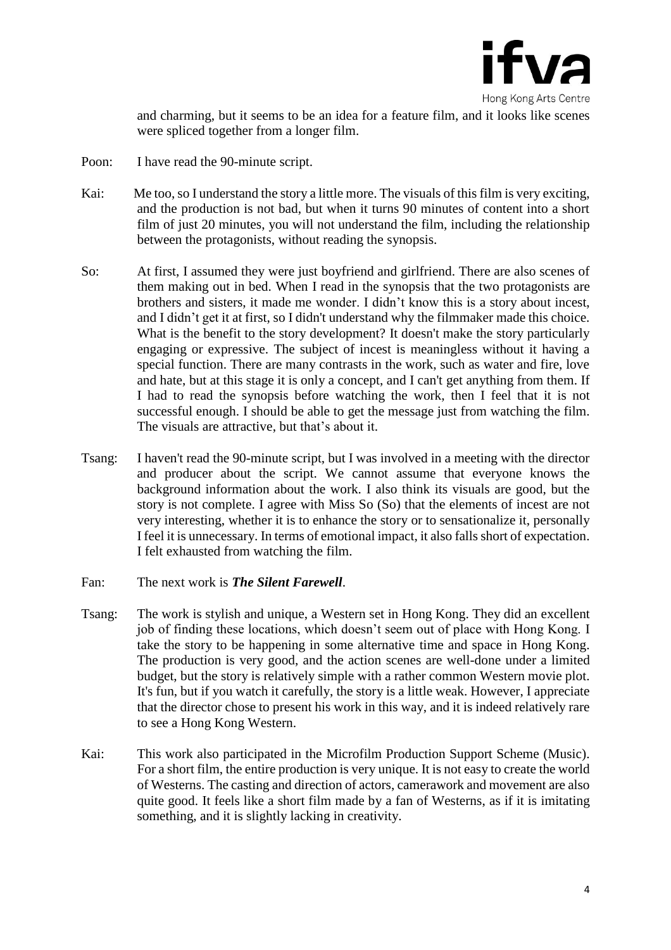

and charming, but it seems to be an idea for a feature film, and it looks like scenes were spliced together from a longer film.

- Poon: I have read the 90-minute script.
- Kai: Me too, so I understand the story a little more. The visuals of this film is very exciting, and the production is not bad, but when it turns 90 minutes of content into a short film of just 20 minutes, you will not understand the film, including the relationship between the protagonists, without reading the synopsis.
- So: At first, I assumed they were just boyfriend and girlfriend. There are also scenes of them making out in bed. When I read in the synopsis that the two protagonists are brothers and sisters, it made me wonder. I didn't know this is a story about incest, and I didn't get it at first, so I didn't understand why the filmmaker made this choice. What is the benefit to the story development? It doesn't make the story particularly engaging or expressive. The subject of incest is meaningless without it having a special function. There are many contrasts in the work, such as water and fire, love and hate, but at this stage it is only a concept, and I can't get anything from them. If I had to read the synopsis before watching the work, then I feel that it is not successful enough. I should be able to get the message just from watching the film. The visuals are attractive, but that's about it.
- Tsang: I haven't read the 90-minute script, but I was involved in a meeting with the director and producer about the script. We cannot assume that everyone knows the background information about the work. I also think its visuals are good, but the story is not complete. I agree with Miss So (So) that the elements of incest are not very interesting, whether it is to enhance the story or to sensationalize it, personally I feel it is unnecessary. In terms of emotional impact, it also falls short of expectation. I felt exhausted from watching the film.
- Fan: The next work is *The Silent Farewell*.
- Tsang: The work is stylish and unique, a Western set in Hong Kong. They did an excellent job of finding these locations, which doesn't seem out of place with Hong Kong. I take the story to be happening in some alternative time and space in Hong Kong. The production is very good, and the action scenes are well-done under a limited budget, but the story is relatively simple with a rather common Western movie plot. It's fun, but if you watch it carefully, the story is a little weak. However, I appreciate that the director chose to present his work in this way, and it is indeed relatively rare to see a Hong Kong Western.
- Kai: This work also participated in the Microfilm Production Support Scheme (Music). For a short film, the entire production is very unique. It is not easy to create the world of Westerns. The casting and direction of actors, camerawork and movement are also quite good. It feels like a short film made by a fan of Westerns, as if it is imitating something, and it is slightly lacking in creativity.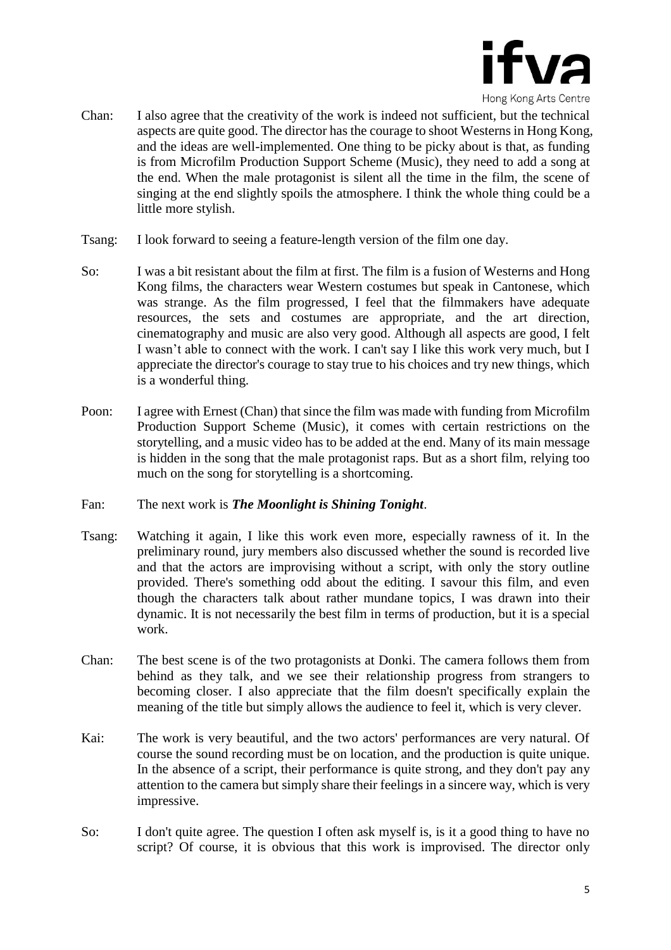

- Chan: I also agree that the creativity of the work is indeed not sufficient, but the technical aspects are quite good. The director has the courage to shoot Westerns in Hong Kong, and the ideas are well-implemented. One thing to be picky about is that, as funding is from Microfilm Production Support Scheme (Music), they need to add a song at the end. When the male protagonist is silent all the time in the film, the scene of singing at the end slightly spoils the atmosphere. I think the whole thing could be a little more stylish.
- Tsang: I look forward to seeing a feature-length version of the film one day.
- So: I was a bit resistant about the film at first. The film is a fusion of Westerns and Hong Kong films, the characters wear Western costumes but speak in Cantonese, which was strange. As the film progressed, I feel that the filmmakers have adequate resources, the sets and costumes are appropriate, and the art direction, cinematography and music are also very good. Although all aspects are good, I felt I wasn't able to connect with the work. I can't say I like this work very much, but I appreciate the director's courage to stay true to his choices and try new things, which is a wonderful thing.
- Poon: I agree with Ernest (Chan) that since the film was made with funding from Microfilm Production Support Scheme (Music), it comes with certain restrictions on the storytelling, and a music video has to be added at the end. Many of its main message is hidden in the song that the male protagonist raps. But as a short film, relying too much on the song for storytelling is a shortcoming.
- Fan: The next work is *The Moonlight is Shining Tonight*.
- Tsang: Watching it again, I like this work even more, especially rawness of it. In the preliminary round, jury members also discussed whether the sound is recorded live and that the actors are improvising without a script, with only the story outline provided. There's something odd about the editing. I savour this film, and even though the characters talk about rather mundane topics, I was drawn into their dynamic. It is not necessarily the best film in terms of production, but it is a special work.
- Chan: The best scene is of the two protagonists at Donki. The camera follows them from behind as they talk, and we see their relationship progress from strangers to becoming closer. I also appreciate that the film doesn't specifically explain the meaning of the title but simply allows the audience to feel it, which is very clever.
- Kai: The work is very beautiful, and the two actors' performances are very natural. Of course the sound recording must be on location, and the production is quite unique. In the absence of a script, their performance is quite strong, and they don't pay any attention to the camera but simply share their feelings in a sincere way, which is very impressive.
- So: I don't quite agree. The question I often ask myself is, is it a good thing to have no script? Of course, it is obvious that this work is improvised. The director only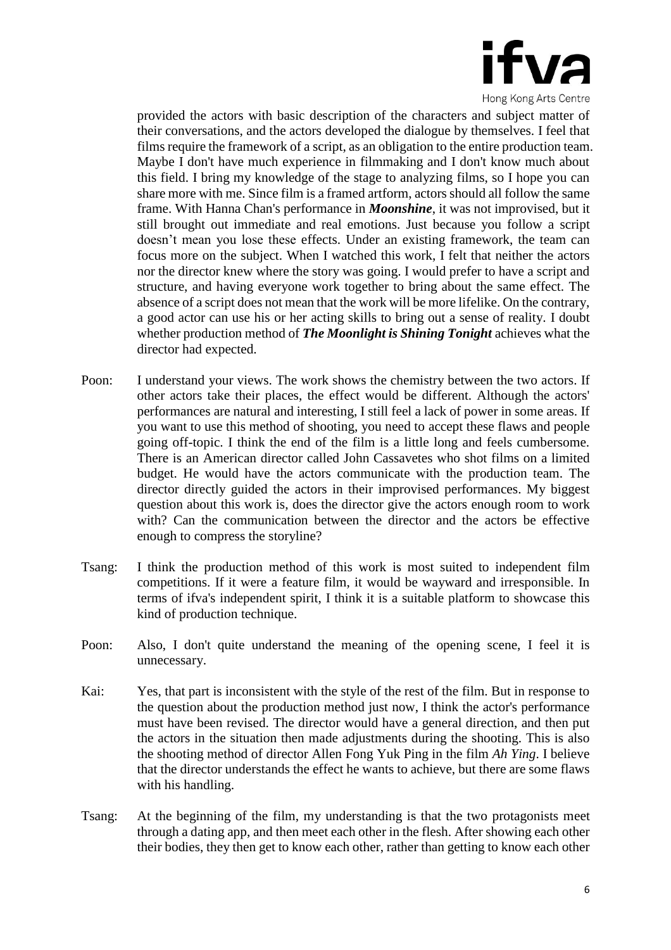

Hong Kong Arts Centre

provided the actors with basic description of the characters and subject matter of their conversations, and the actors developed the dialogue by themselves. I feel that films require the framework of a script, as an obligation to the entire production team. Maybe I don't have much experience in filmmaking and I don't know much about this field. I bring my knowledge of the stage to analyzing films, so I hope you can share more with me. Since film is a framed artform, actors should all follow the same frame. With Hanna Chan's performance in *Moonshine*, it was not improvised, but it still brought out immediate and real emotions. Just because you follow a script doesn't mean you lose these effects. Under an existing framework, the team can focus more on the subject. When I watched this work, I felt that neither the actors nor the director knew where the story was going. I would prefer to have a script and structure, and having everyone work together to bring about the same effect. The absence of a script does not mean that the work will be more lifelike. On the contrary, a good actor can use his or her acting skills to bring out a sense of reality. I doubt whether production method of *The Moonlight is Shining Tonight* achieves what the director had expected.

- Poon: I understand your views. The work shows the chemistry between the two actors. If other actors take their places, the effect would be different. Although the actors' performances are natural and interesting, I still feel a lack of power in some areas. If you want to use this method of shooting, you need to accept these flaws and people going off-topic. I think the end of the film is a little long and feels cumbersome. There is an American director called John Cassavetes who shot films on a limited budget. He would have the actors communicate with the production team. The director directly guided the actors in their improvised performances. My biggest question about this work is, does the director give the actors enough room to work with? Can the communication between the director and the actors be effective enough to compress the storyline?
- Tsang: I think the production method of this work is most suited to independent film competitions. If it were a feature film, it would be wayward and irresponsible. In terms of ifva's independent spirit, I think it is a suitable platform to showcase this kind of production technique.
- Poon: Also, I don't quite understand the meaning of the opening scene, I feel it is unnecessary.
- Kai: Yes, that part is inconsistent with the style of the rest of the film. But in response to the question about the production method just now, I think the actor's performance must have been revised. The director would have a general direction, and then put the actors in the situation then made adjustments during the shooting. This is also the shooting method of director Allen Fong Yuk Ping in the film *Ah Ying*. I believe that the director understands the effect he wants to achieve, but there are some flaws with his handling.
- Tsang: At the beginning of the film, my understanding is that the two protagonists meet through a dating app, and then meet each other in the flesh. After showing each other their bodies, they then get to know each other, rather than getting to know each other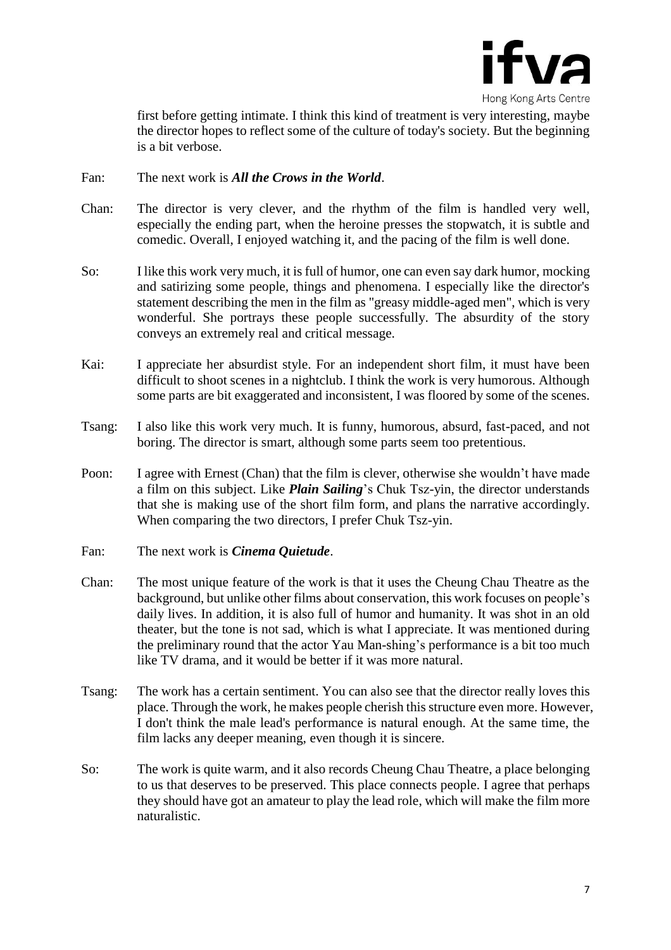

first before getting intimate. I think this kind of treatment is very interesting, maybe the director hopes to reflect some of the culture of today's society. But the beginning is a bit verbose.

#### Fan: The next work is *All the Crows in the World*.

- Chan: The director is very clever, and the rhythm of the film is handled very well, especially the ending part, when the heroine presses the stopwatch, it is subtle and comedic. Overall, I enjoyed watching it, and the pacing of the film is well done.
- So: I like this work very much, it is full of humor, one can even say dark humor, mocking and satirizing some people, things and phenomena. I especially like the director's statement describing the men in the film as "greasy middle-aged men", which is very wonderful. She portrays these people successfully. The absurdity of the story conveys an extremely real and critical message.
- Kai: I appreciate her absurdist style. For an independent short film, it must have been difficult to shoot scenes in a nightclub. I think the work is very humorous. Although some parts are bit exaggerated and inconsistent, I was floored by some of the scenes.
- Tsang: I also like this work very much. It is funny, humorous, absurd, fast-paced, and not boring. The director is smart, although some parts seem too pretentious.
- Poon: I agree with Ernest (Chan) that the film is clever, otherwise she wouldn't have made a film on this subject. Like *Plain Sailing*'s Chuk Tsz-yin, the director understands that she is making use of the short film form, and plans the narrative accordingly. When comparing the two directors, I prefer Chuk Tsz-yin.
- Fan: The next work is *Cinema Quietude*.
- Chan: The most unique feature of the work is that it uses the Cheung Chau Theatre as the background, but unlike other films about conservation, this work focuses on people's daily lives. In addition, it is also full of humor and humanity. It was shot in an old theater, but the tone is not sad, which is what I appreciate. It was mentioned during the preliminary round that the actor Yau Man-shing's performance is a bit too much like TV drama, and it would be better if it was more natural.
- Tsang: The work has a certain sentiment. You can also see that the director really loves this place. Through the work, he makes people cherish this structure even more. However, I don't think the male lead's performance is natural enough. At the same time, the film lacks any deeper meaning, even though it is sincere.
- So: The work is quite warm, and it also records Cheung Chau Theatre, a place belonging to us that deserves to be preserved. This place connects people. I agree that perhaps they should have got an amateur to play the lead role, which will make the film more naturalistic.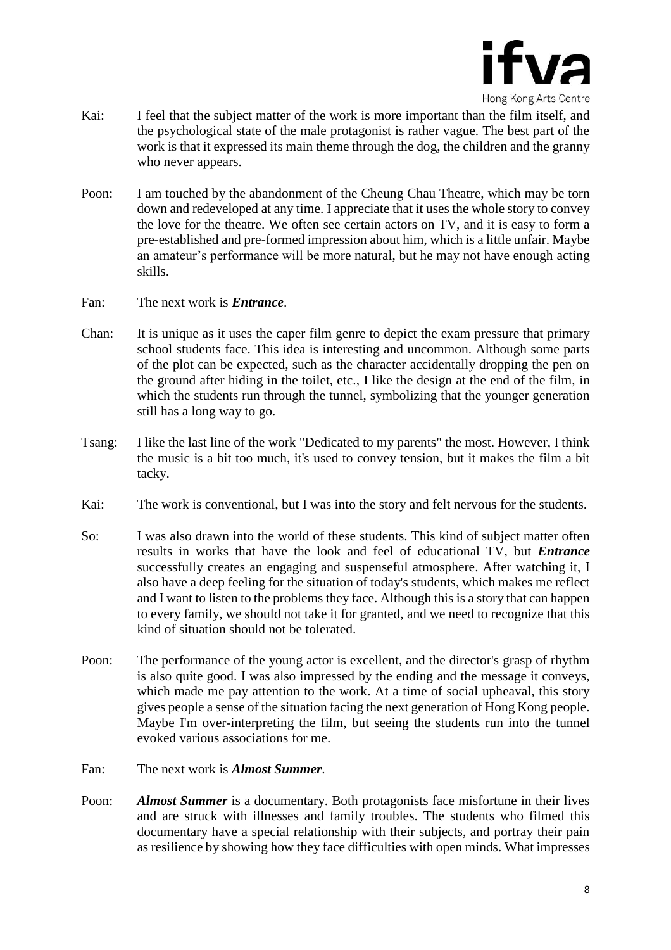

- Kai: I feel that the subject matter of the work is more important than the film itself, and the psychological state of the male protagonist is rather vague. The best part of the work is that it expressed its main theme through the dog, the children and the granny who never appears.
- Poon: I am touched by the abandonment of the Cheung Chau Theatre, which may be torn down and redeveloped at any time. I appreciate that it uses the whole story to convey the love for the theatre. We often see certain actors on TV, and it is easy to form a pre-established and pre-formed impression about him, which is a little unfair. Maybe an amateur's performance will be more natural, but he may not have enough acting skills.
- Fan: The next work is *Entrance*.
- Chan: It is unique as it uses the caper film genre to depict the exam pressure that primary school students face. This idea is interesting and uncommon. Although some parts of the plot can be expected, such as the character accidentally dropping the pen on the ground after hiding in the toilet, etc., I like the design at the end of the film, in which the students run through the tunnel, symbolizing that the younger generation still has a long way to go.
- Tsang: I like the last line of the work "Dedicated to my parents" the most. However, I think the music is a bit too much, it's used to convey tension, but it makes the film a bit tacky.
- Kai: The work is conventional, but I was into the story and felt nervous for the students.
- So: I was also drawn into the world of these students. This kind of subject matter often results in works that have the look and feel of educational TV, but *Entrance* successfully creates an engaging and suspenseful atmosphere. After watching it, I also have a deep feeling for the situation of today's students, which makes me reflect and I want to listen to the problems they face. Although this is a story that can happen to every family, we should not take it for granted, and we need to recognize that this kind of situation should not be tolerated.
- Poon: The performance of the young actor is excellent, and the director's grasp of rhythm is also quite good. I was also impressed by the ending and the message it conveys, which made me pay attention to the work. At a time of social upheaval, this story gives people a sense of the situation facing the next generation of Hong Kong people. Maybe I'm over-interpreting the film, but seeing the students run into the tunnel evoked various associations for me.
- Fan: The next work is *Almost Summer*.
- Poon: *Almost Summer* is a documentary. Both protagonists face misfortune in their lives and are struck with illnesses and family troubles. The students who filmed this documentary have a special relationship with their subjects, and portray their pain as resilience by showing how they face difficulties with open minds. What impresses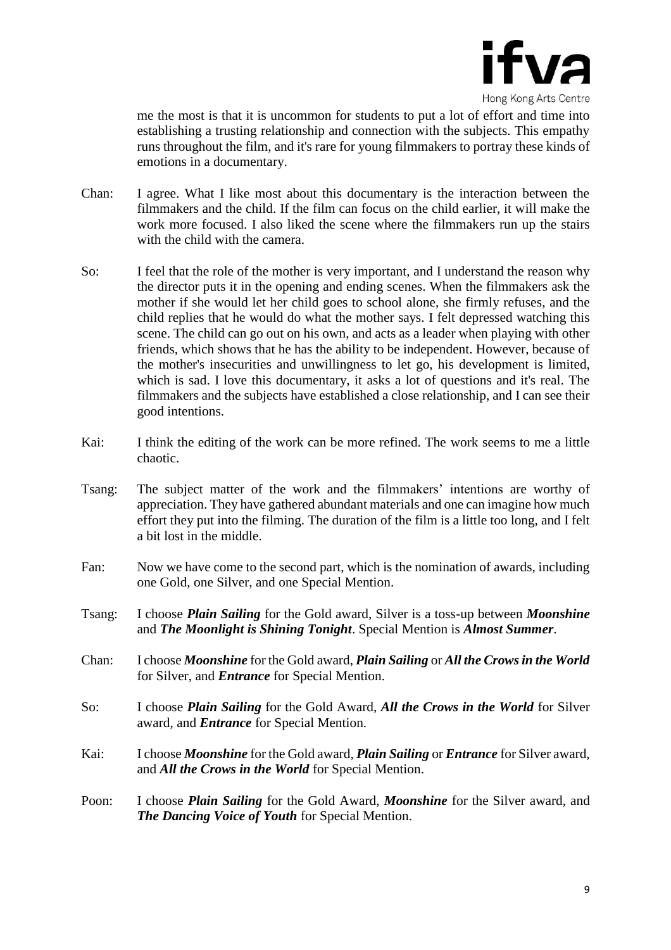

me the most is that it is uncommon for students to put a lot of effort and time into establishing a trusting relationship and connection with the subjects. This empathy runs throughout the film, and it's rare for young filmmakers to portray these kinds of emotions in a documentary.

- Chan: I agree. What I like most about this documentary is the interaction between the filmmakers and the child. If the film can focus on the child earlier, it will make the work more focused. I also liked the scene where the filmmakers run up the stairs with the child with the camera.
- So: I feel that the role of the mother is very important, and I understand the reason why the director puts it in the opening and ending scenes. When the filmmakers ask the mother if she would let her child goes to school alone, she firmly refuses, and the child replies that he would do what the mother says. I felt depressed watching this scene. The child can go out on his own, and acts as a leader when playing with other friends, which shows that he has the ability to be independent. However, because of the mother's insecurities and unwillingness to let go, his development is limited, which is sad. I love this documentary, it asks a lot of questions and it's real. The filmmakers and the subjects have established a close relationship, and I can see their good intentions.
- Kai: I think the editing of the work can be more refined. The work seems to me a little chaotic.
- Tsang: The subject matter of the work and the filmmakers' intentions are worthy of appreciation. They have gathered abundant materials and one can imagine how much effort they put into the filming. The duration of the film is a little too long, and I felt a bit lost in the middle.
- Fan: Now we have come to the second part, which is the nomination of awards, including one Gold, one Silver, and one Special Mention.
- Tsang: I choose *Plain Sailing* for the Gold award, Silver is a toss-up between *Moonshine* and *The Moonlight is Shining Tonight*. Special Mention is *Almost Summer*.
- Chan: I choose *Moonshine* for the Gold award, *Plain Sailing* or *All the Crows in the World* for Silver, and *Entrance* for Special Mention.
- So: I choose *Plain Sailing* for the Gold Award, *All the Crows in the World* for Silver award, and *Entrance* for Special Mention.
- Kai: I choose *Moonshine* for the Gold award, *Plain Sailing* or *Entrance* for Silver award, and *All the Crows in the World* for Special Mention.
- Poon: I choose *Plain Sailing* for the Gold Award, *Moonshine* for the Silver award, and *The Dancing Voice of Youth* for Special Mention.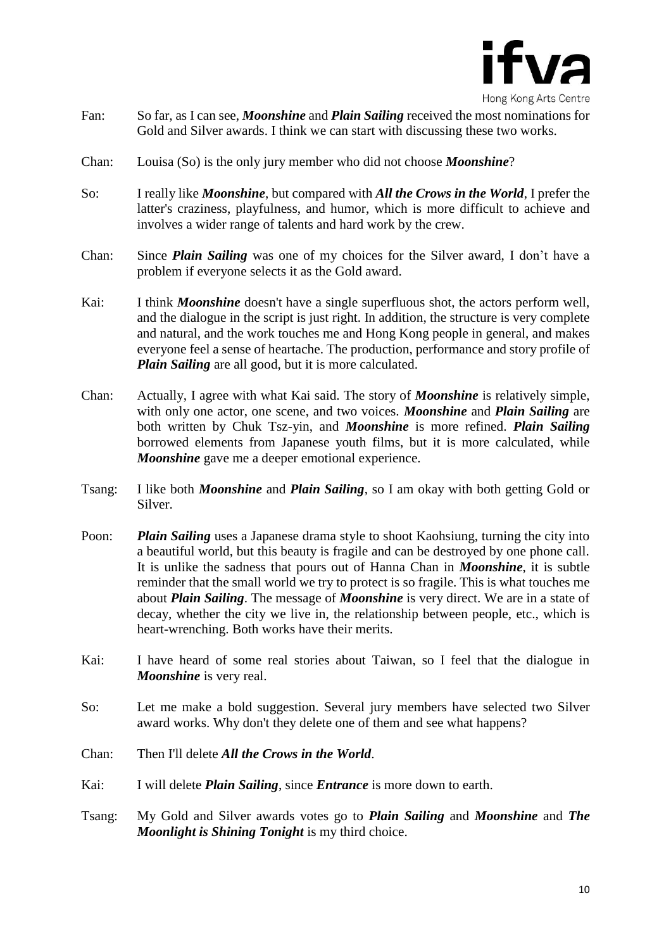

- Fan: So far, as I can see, *Moonshine* and *Plain Sailing* received the most nominations for Gold and Silver awards. I think we can start with discussing these two works.
- Chan: Louisa (So) is the only jury member who did not choose *Moonshine*?
- So: I really like *Moonshine*, but compared with *All the Crows in the World*, I prefer the latter's craziness, playfulness, and humor, which is more difficult to achieve and involves a wider range of talents and hard work by the crew.
- Chan: Since *Plain Sailing* was one of my choices for the Silver award, I don't have a problem if everyone selects it as the Gold award.
- Kai: I think *Moonshine* doesn't have a single superfluous shot, the actors perform well, and the dialogue in the script is just right. In addition, the structure is very complete and natural, and the work touches me and Hong Kong people in general, and makes everyone feel a sense of heartache. The production, performance and story profile of *Plain Sailing* are all good, but it is more calculated.
- Chan: Actually, I agree with what Kai said. The story of *Moonshine* is relatively simple, with only one actor, one scene, and two voices. *Moonshine* and *Plain Sailing* are both written by Chuk Tsz-yin, and *Moonshine* is more refined. *Plain Sailing* borrowed elements from Japanese youth films, but it is more calculated, while *Moonshine* gave me a deeper emotional experience.
- Tsang: I like both *Moonshine* and *Plain Sailing*, so I am okay with both getting Gold or Silver.
- Poon: *Plain Sailing* uses a Japanese drama style to shoot Kaohsiung, turning the city into a beautiful world, but this beauty is fragile and can be destroyed by one phone call. It is unlike the sadness that pours out of Hanna Chan in *Moonshine*, it is subtle reminder that the small world we try to protect is so fragile. This is what touches me about *Plain Sailing*. The message of *Moonshine* is very direct. We are in a state of decay, whether the city we live in, the relationship between people, etc., which is heart-wrenching. Both works have their merits.
- Kai: I have heard of some real stories about Taiwan, so I feel that the dialogue in *Moonshine* is very real.
- So: Let me make a bold suggestion. Several jury members have selected two Silver award works. Why don't they delete one of them and see what happens?
- Chan: Then I'll delete *All the Crows in the World*.
- Kai: I will delete *Plain Sailing*, since *Entrance* is more down to earth.
- Tsang: My Gold and Silver awards votes go to *Plain Sailing* and *Moonshine* and *The Moonlight is Shining Tonight* is my third choice.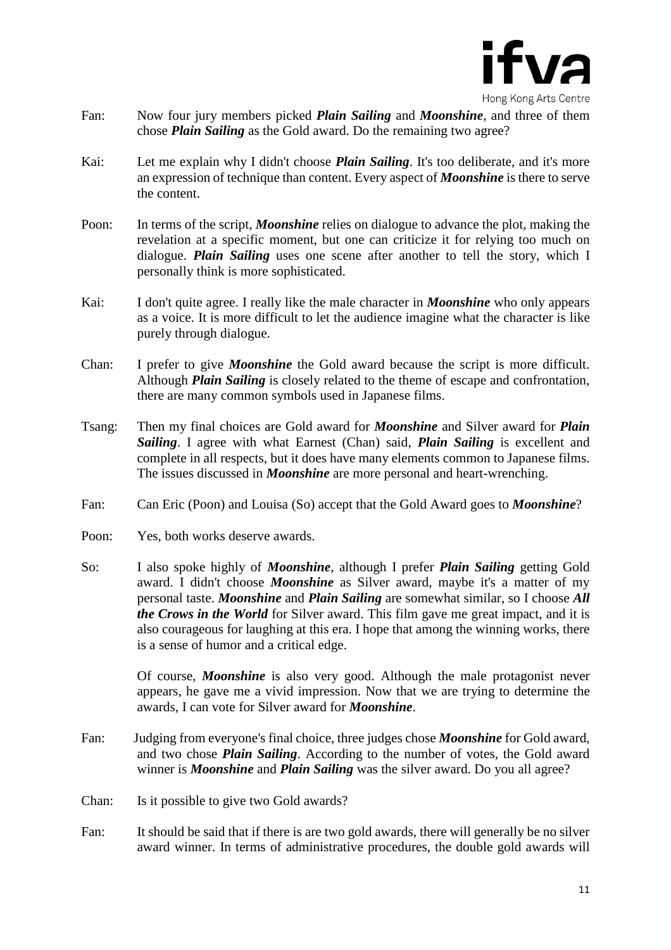

Hong Kong Arts Centre

- Fan: Now four jury members picked *Plain Sailing* and *Moonshine*, and three of them chose *Plain Sailing* as the Gold award. Do the remaining two agree?
- Kai: Let me explain why I didn't choose *Plain Sailing*. It's too deliberate, and it's more an expression of technique than content. Every aspect of *Moonshine* is there to serve the content.
- Poon: In terms of the script, *Moonshine* relies on dialogue to advance the plot, making the revelation at a specific moment, but one can criticize it for relying too much on dialogue. *Plain Sailing* uses one scene after another to tell the story, which I personally think is more sophisticated.
- Kai: I don't quite agree. I really like the male character in *Moonshine* who only appears as a voice. It is more difficult to let the audience imagine what the character is like purely through dialogue.
- Chan: I prefer to give *Moonshine* the Gold award because the script is more difficult. Although *Plain Sailing* is closely related to the theme of escape and confrontation, there are many common symbols used in Japanese films.
- Tsang: Then my final choices are Gold award for *Moonshine* and Silver award for *Plain Sailing*. I agree with what Earnest (Chan) said, *Plain Sailing* is excellent and complete in all respects, but it does have many elements common to Japanese films. The issues discussed in *Moonshine* are more personal and heart-wrenching.
- Fan: Can Eric (Poon) and Louisa (So) accept that the Gold Award goes to *Moonshine*?
- Poon: Yes, both works deserve awards.
- So: I also spoke highly of *Moonshine,* although I prefer *Plain Sailing* getting Gold award. I didn't choose *Moonshine* as Silver award, maybe it's a matter of my personal taste. *Moonshine* and *Plain Sailing* are somewhat similar, so I choose *All the Crows in the World* for Silver award. This film gave me great impact, and it is also courageous for laughing at this era. I hope that among the winning works, there is a sense of humor and a critical edge.

Of course, *Moonshine* is also very good. Although the male protagonist never appears, he gave me a vivid impression. Now that we are trying to determine the awards, I can vote for Silver award for *Moonshine*.

- Fan: Judging from everyone's final choice, three judges chose *Moonshine* for Gold award, and two chose *Plain Sailing*. According to the number of votes, the Gold award winner is *Moonshine* and *Plain Sailing* was the silver award. Do you all agree?
- Chan: Is it possible to give two Gold awards?
- Fan: It should be said that if there is are two gold awards, there will generally be no silver award winner. In terms of administrative procedures, the double gold awards will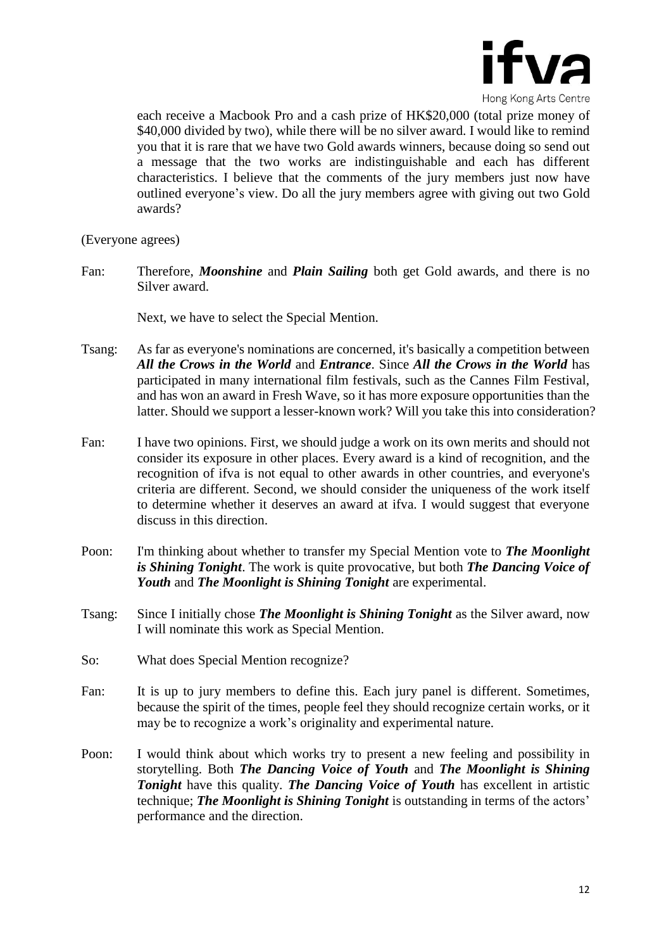

each receive a Macbook Pro and a cash prize of HK\$20,000 (total prize money of \$40,000 divided by two), while there will be no silver award. I would like to remind you that it is rare that we have two Gold awards winners, because doing so send out a message that the two works are indistinguishable and each has different characteristics. I believe that the comments of the jury members just now have outlined everyone's view. Do all the jury members agree with giving out two Gold awards?

(Everyone agrees)

Fan: Therefore, *Moonshine* and *Plain Sailing* both get Gold awards, and there is no Silver award.

Next, we have to select the Special Mention.

- Tsang: As far as everyone's nominations are concerned, it's basically a competition between *All the Crows in the World* and *Entrance*. Since *All the Crows in the World* has participated in many international film festivals, such as the Cannes Film Festival, and has won an award in Fresh Wave, so it has more exposure opportunities than the latter. Should we support a lesser-known work? Will you take this into consideration?
- Fan: I have two opinions. First, we should judge a work on its own merits and should not consider its exposure in other places. Every award is a kind of recognition, and the recognition of ifva is not equal to other awards in other countries, and everyone's criteria are different. Second, we should consider the uniqueness of the work itself to determine whether it deserves an award at ifva. I would suggest that everyone discuss in this direction.
- Poon: I'm thinking about whether to transfer my Special Mention vote to *The Moonlight is Shining Tonight*. The work is quite provocative, but both *The Dancing Voice of Youth* and *The Moonlight is Shining Tonight* are experimental.
- Tsang: Since I initially chose *The Moonlight is Shining Tonight* as the Silver award, now I will nominate this work as Special Mention.
- So: What does Special Mention recognize?
- Fan: It is up to jury members to define this. Each jury panel is different. Sometimes, because the spirit of the times, people feel they should recognize certain works, or it may be to recognize a work's originality and experimental nature.
- Poon: I would think about which works try to present a new feeling and possibility in storytelling. Both *The Dancing Voice of Youth* and *The Moonlight is Shining Tonight* have this quality. *The Dancing Voice of Youth* has excellent in artistic technique; *The Moonlight is Shining Tonight* is outstanding in terms of the actors' performance and the direction.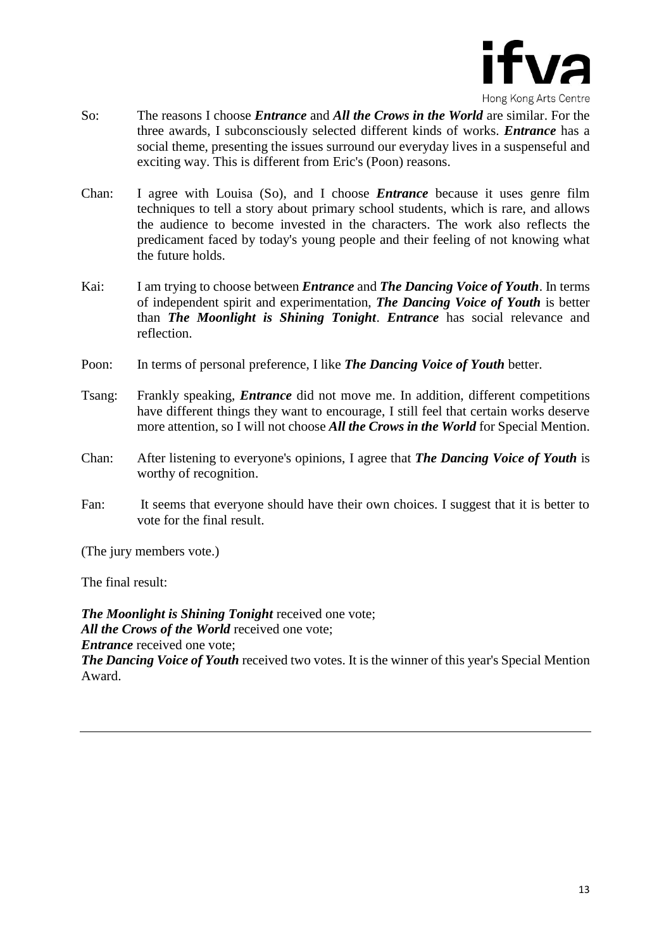

- So: The reasons I choose *Entrance* and *All the Crows in the World* are similar. For the three awards, I subconsciously selected different kinds of works. *Entrance* has a social theme, presenting the issues surround our everyday lives in a suspenseful and exciting way. This is different from Eric's (Poon) reasons.
- Chan: I agree with Louisa (So), and I choose *Entrance* because it uses genre film techniques to tell a story about primary school students, which is rare, and allows the audience to become invested in the characters. The work also reflects the predicament faced by today's young people and their feeling of not knowing what the future holds.
- Kai: I am trying to choose between *Entrance* and *The Dancing Voice of Youth*. In terms of independent spirit and experimentation, *The Dancing Voice of Youth* is better than *The Moonlight is Shining Tonight*. *Entrance* has social relevance and reflection.
- Poon: In terms of personal preference, I like *The Dancing Voice of Youth* better.
- Tsang: Frankly speaking, *Entrance* did not move me. In addition, different competitions have different things they want to encourage, I still feel that certain works deserve more attention, so I will not choose *All the Crows in the World* for Special Mention.
- Chan: After listening to everyone's opinions, I agree that *The Dancing Voice of Youth* is worthy of recognition.
- Fan: It seems that everyone should have their own choices. I suggest that it is better to vote for the final result.

(The jury members vote.)

The final result:

*The Moonlight is Shining Tonight* received one vote; *All the Crows of the World* received one vote; *Entrance* received one vote; *The Dancing Voice of Youth* received two votes. It is the winner of this year's Special Mention Award.